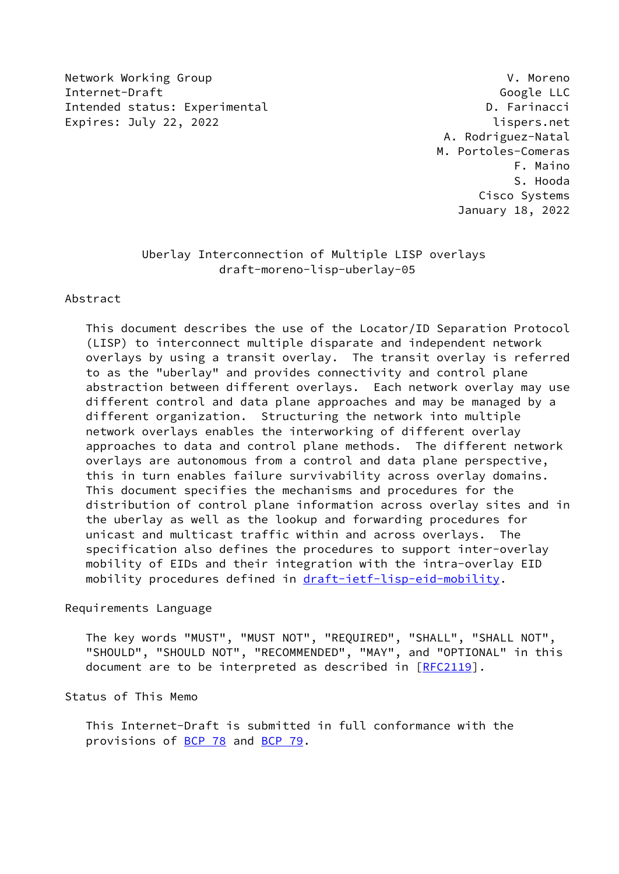Network Working Group V. Moreno Internet-Draft Google LLC Intended status: Experimental delay and the control of the D. Farinacci Expires: July 22, 2022 **lispers.net** 

 A. Rodriguez-Natal M. Portoles-Comeras F. Maino S. Hooda Cisco Systems January 18, 2022

# Uberlay Interconnection of Multiple LISP overlays draft-moreno-lisp-uberlay-05

## Abstract

 This document describes the use of the Locator/ID Separation Protocol (LISP) to interconnect multiple disparate and independent network overlays by using a transit overlay. The transit overlay is referred to as the "uberlay" and provides connectivity and control plane abstraction between different overlays. Each network overlay may use different control and data plane approaches and may be managed by a different organization. Structuring the network into multiple network overlays enables the interworking of different overlay approaches to data and control plane methods. The different network overlays are autonomous from a control and data plane perspective, this in turn enables failure survivability across overlay domains. This document specifies the mechanisms and procedures for the distribution of control plane information across overlay sites and in the uberlay as well as the lookup and forwarding procedures for unicast and multicast traffic within and across overlays. The specification also defines the procedures to support inter-overlay mobility of EIDs and their integration with the intra-overlay EID mobility procedures defined in [draft-ietf-lisp-eid-mobility.](https://datatracker.ietf.org/doc/pdf/draft-ietf-lisp-eid-mobility)

#### Requirements Language

 The key words "MUST", "MUST NOT", "REQUIRED", "SHALL", "SHALL NOT", "SHOULD", "SHOULD NOT", "RECOMMENDED", "MAY", and "OPTIONAL" in this document are to be interpreted as described in [\[RFC2119](https://datatracker.ietf.org/doc/pdf/rfc2119)].

## Status of This Memo

 This Internet-Draft is submitted in full conformance with the provisions of [BCP 78](https://datatracker.ietf.org/doc/pdf/bcp78) and [BCP 79](https://datatracker.ietf.org/doc/pdf/bcp79).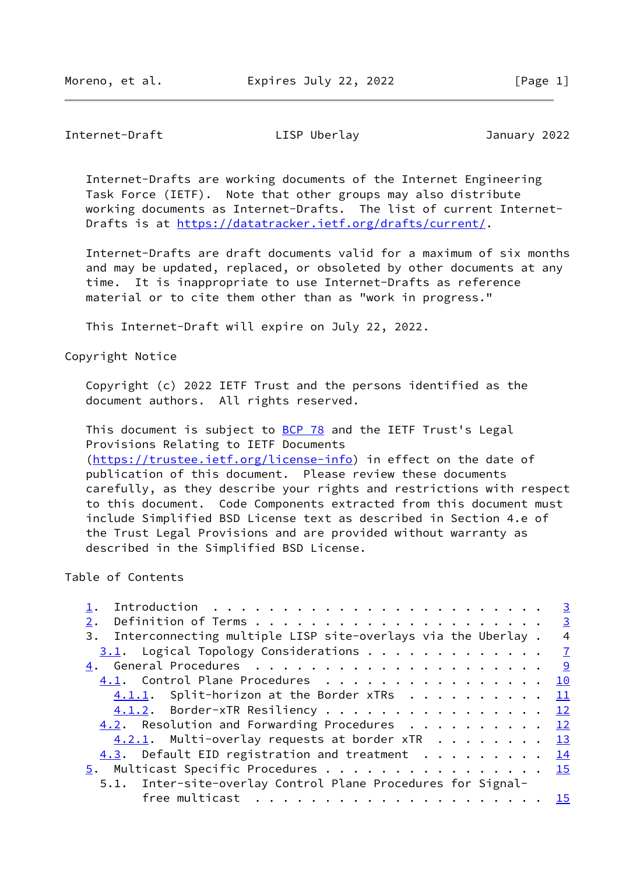Internet-Draft LISP Uberlay January 2022

 Internet-Drafts are working documents of the Internet Engineering Task Force (IETF). Note that other groups may also distribute working documents as Internet-Drafts. The list of current Internet- Drafts is at<https://datatracker.ietf.org/drafts/current/>.

 Internet-Drafts are draft documents valid for a maximum of six months and may be updated, replaced, or obsoleted by other documents at any time. It is inappropriate to use Internet-Drafts as reference material or to cite them other than as "work in progress."

This Internet-Draft will expire on July 22, 2022.

Copyright Notice

 Copyright (c) 2022 IETF Trust and the persons identified as the document authors. All rights reserved.

This document is subject to **[BCP 78](https://datatracker.ietf.org/doc/pdf/bcp78)** and the IETF Trust's Legal Provisions Relating to IETF Documents [\(https://trustee.ietf.org/license-info](https://trustee.ietf.org/license-info)) in effect on the date of publication of this document. Please review these documents carefully, as they describe your rights and restrictions with respect to this document. Code Components extracted from this document must include Simplified BSD License text as described in Section 4.e of the Trust Legal Provisions and are provided without warranty as described in the Simplified BSD License.

Table of Contents

| $\overline{3}$                                        |
|-------------------------------------------------------|
| $\overline{3}$                                        |
| $\overline{4}$                                        |
| $3.1$ . Logical Topology Considerations $\frac{7}{2}$ |
| 9                                                     |
| 4.1. Control Plane Procedures 10                      |
| $4.1.1.$ Split-horizon at the Border xTRs 11          |
| $4.1.2$ . Border-xTR Resiliency 12                    |
| 4.2. Resolution and Forwarding Procedures 12          |
| $\overline{13}$                                       |
| <u>14</u>                                             |
| $\frac{5}{2}$ . Multicast Specific Procedures 15      |
|                                                       |
| <u>15</u>                                             |
|                                                       |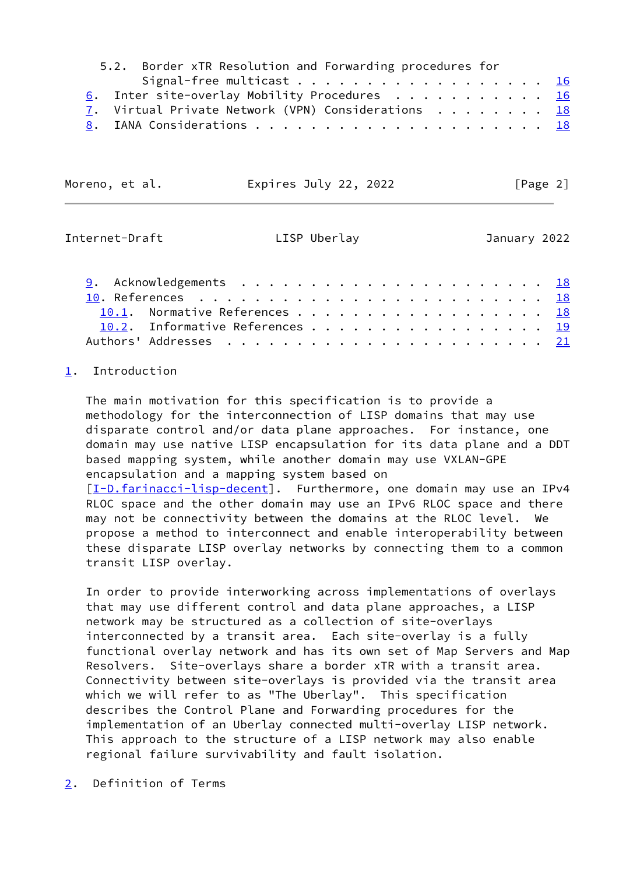|  | 5.2. Border xTR Resolution and Forwarding procedures for |  |  |
|--|----------------------------------------------------------|--|--|
|  | Signal-free multicast $\underline{16}$                   |  |  |
|  | 6. Inter site-overlay Mobility Procedures 16             |  |  |
|  | 7. Virtual Private Network (VPN) Considerations 18       |  |  |
|  |                                                          |  |  |

| Moreno, et al. | Expires July 22, 2022 | [Page 2] |
|----------------|-----------------------|----------|
|----------------|-----------------------|----------|

<span id="page-2-1"></span>

| Internet-Draft |  |
|----------------|--|
|----------------|--|

LISP Uberlay **Internet-Dramary 2022** 

| 10.1. Normative References 18   |  |  |  |
|---------------------------------|--|--|--|
| 10.2. Informative References 19 |  |  |  |
|                                 |  |  |  |

# <span id="page-2-0"></span>[1](#page-2-0). Introduction

 The main motivation for this specification is to provide a methodology for the interconnection of LISP domains that may use disparate control and/or data plane approaches. For instance, one domain may use native LISP encapsulation for its data plane and a DDT based mapping system, while another domain may use VXLAN-GPE encapsulation and a mapping system based on [\[I-D.farinacci-lisp-decent](#page-20-3)]. Furthermore, one domain may use an IPv4

 RLOC space and the other domain may use an IPv6 RLOC space and there may not be connectivity between the domains at the RLOC level. We propose a method to interconnect and enable interoperability between these disparate LISP overlay networks by connecting them to a common transit LISP overlay.

 In order to provide interworking across implementations of overlays that may use different control and data plane approaches, a LISP network may be structured as a collection of site-overlays interconnected by a transit area. Each site-overlay is a fully functional overlay network and has its own set of Map Servers and Map Resolvers. Site-overlays share a border xTR with a transit area. Connectivity between site-overlays is provided via the transit area which we will refer to as "The Uberlay". This specification describes the Control Plane and Forwarding procedures for the implementation of an Uberlay connected multi-overlay LISP network. This approach to the structure of a LISP network may also enable regional failure survivability and fault isolation.

<span id="page-2-2"></span>[2](#page-2-2). Definition of Terms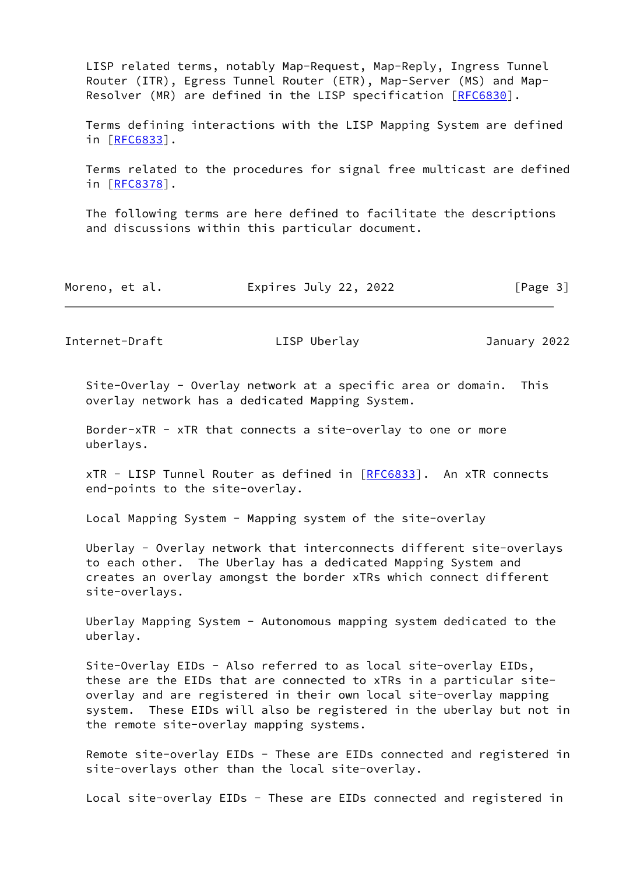LISP related terms, notably Map-Request, Map-Reply, Ingress Tunnel Router (ITR), Egress Tunnel Router (ETR), Map-Server (MS) and Map- Resolver (MR) are defined in the LISP specification [\[RFC6830](https://datatracker.ietf.org/doc/pdf/rfc6830)].

 Terms defining interactions with the LISP Mapping System are defined in [[RFC6833\]](https://datatracker.ietf.org/doc/pdf/rfc6833).

 Terms related to the procedures for signal free multicast are defined in [[RFC8378\]](https://datatracker.ietf.org/doc/pdf/rfc8378).

 The following terms are here defined to facilitate the descriptions and discussions within this particular document.

| Moreno, et al. | Expires July 22, 2022 | [Page 3] |
|----------------|-----------------------|----------|
|----------------|-----------------------|----------|

Internet-Draft LISP Uberlay January 2022

 Site-Overlay - Overlay network at a specific area or domain. This overlay network has a dedicated Mapping System.

 Border-xTR - xTR that connects a site-overlay to one or more uberlays.

 $xTR - LISP$  Tunnel Router as defined in  $[REC 6833]$ . An  $xTR$  connects end-points to the site-overlay.

Local Mapping System - Mapping system of the site-overlay

 Uberlay - Overlay network that interconnects different site-overlays to each other. The Uberlay has a dedicated Mapping System and creates an overlay amongst the border xTRs which connect different site-overlays.

 Uberlay Mapping System - Autonomous mapping system dedicated to the uberlay.

 Site-Overlay EIDs - Also referred to as local site-overlay EIDs, these are the EIDs that are connected to xTRs in a particular site overlay and are registered in their own local site-overlay mapping system. These EIDs will also be registered in the uberlay but not in the remote site-overlay mapping systems.

 Remote site-overlay EIDs - These are EIDs connected and registered in site-overlays other than the local site-overlay.

Local site-overlay EIDs - These are EIDs connected and registered in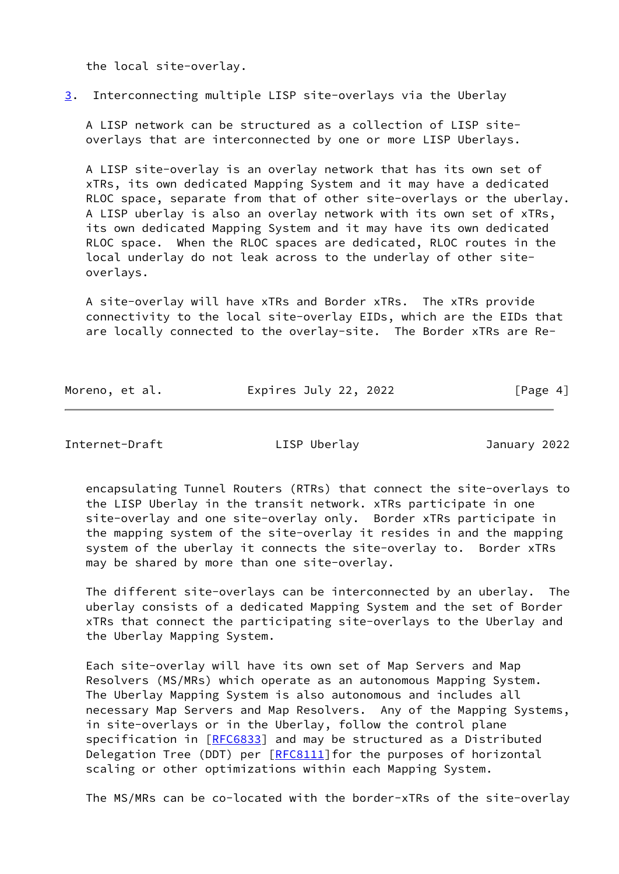the local site-overlay.

## <span id="page-4-0"></span>[3](#page-4-0). Interconnecting multiple LISP site-overlays via the Uberlay

 A LISP network can be structured as a collection of LISP site overlays that are interconnected by one or more LISP Uberlays.

 A LISP site-overlay is an overlay network that has its own set of xTRs, its own dedicated Mapping System and it may have a dedicated RLOC space, separate from that of other site-overlays or the uberlay. A LISP uberlay is also an overlay network with its own set of xTRs, its own dedicated Mapping System and it may have its own dedicated RLOC space. When the RLOC spaces are dedicated, RLOC routes in the local underlay do not leak across to the underlay of other site overlays.

 A site-overlay will have xTRs and Border xTRs. The xTRs provide connectivity to the local site-overlay EIDs, which are the EIDs that are locally connected to the overlay-site. The Border xTRs are Re-

Moreno, et al. **Expires July 22, 2022** [Page 4]

Internet-Draft LISP Uberlay January 2022

 encapsulating Tunnel Routers (RTRs) that connect the site-overlays to the LISP Uberlay in the transit network. xTRs participate in one site-overlay and one site-overlay only. Border xTRs participate in the mapping system of the site-overlay it resides in and the mapping system of the uberlay it connects the site-overlay to. Border xTRs may be shared by more than one site-overlay.

 The different site-overlays can be interconnected by an uberlay. The uberlay consists of a dedicated Mapping System and the set of Border xTRs that connect the participating site-overlays to the Uberlay and the Uberlay Mapping System.

 Each site-overlay will have its own set of Map Servers and Map Resolvers (MS/MRs) which operate as an autonomous Mapping System. The Uberlay Mapping System is also autonomous and includes all necessary Map Servers and Map Resolvers. Any of the Mapping Systems, in site-overlays or in the Uberlay, follow the control plane specification in [\[RFC6833](https://datatracker.ietf.org/doc/pdf/rfc6833)] and may be structured as a Distributed Delegation Tree (DDT) per  $[REC8111]$  for the purposes of horizontal scaling or other optimizations within each Mapping System.

The MS/MRs can be co-located with the border-xTRs of the site-overlay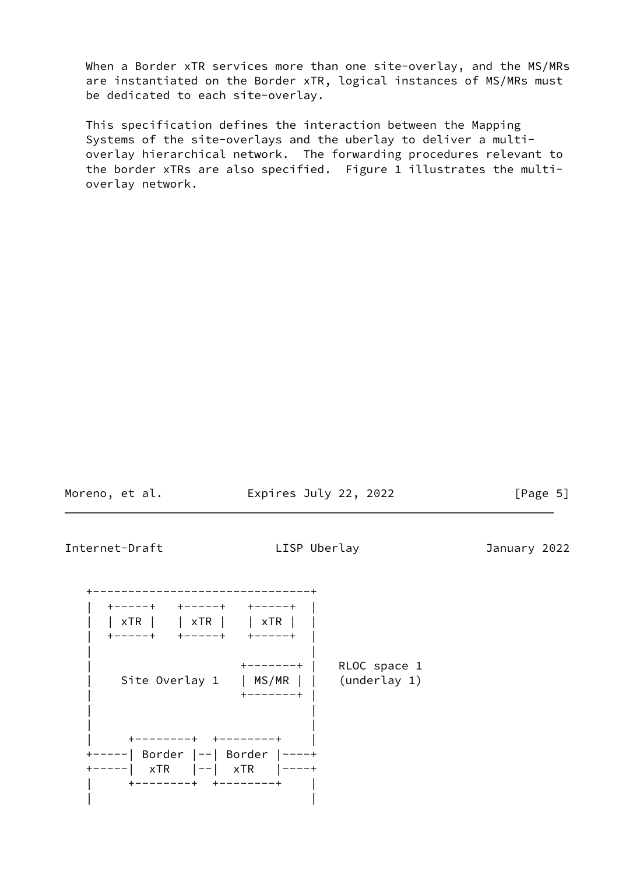When a Border xTR services more than one site-overlay, and the MS/MRs are instantiated on the Border xTR, logical instances of MS/MRs must be dedicated to each site-overlay.

 This specification defines the interaction between the Mapping Systems of the site-overlays and the uberlay to deliver a multi overlay hierarchical network. The forwarding procedures relevant to the border xTRs are also specified. Figure 1 illustrates the multi overlay network.

| Moreno, |  | et al. |
|---------|--|--------|
|---------|--|--------|

Expires July 22, 2022 [Page 5]

Internet-Draft LISP Uberlay January 2022

 +-------------------------------+ | +-----+ +-----+ +-----+ | | | xTR | | xTR | | xTR | | | +-----+ +-----+ +-----+ | | | | +-------+ | RLOC space 1 Site Overlay 1 | MS/MR | | (underlay 1) | +-------+ | | | | | | +--------+ +--------+ | +-----| Border |--| Border |----+ +-----| xTR |--| xTR |----+ | +--------+ +--------+ | | |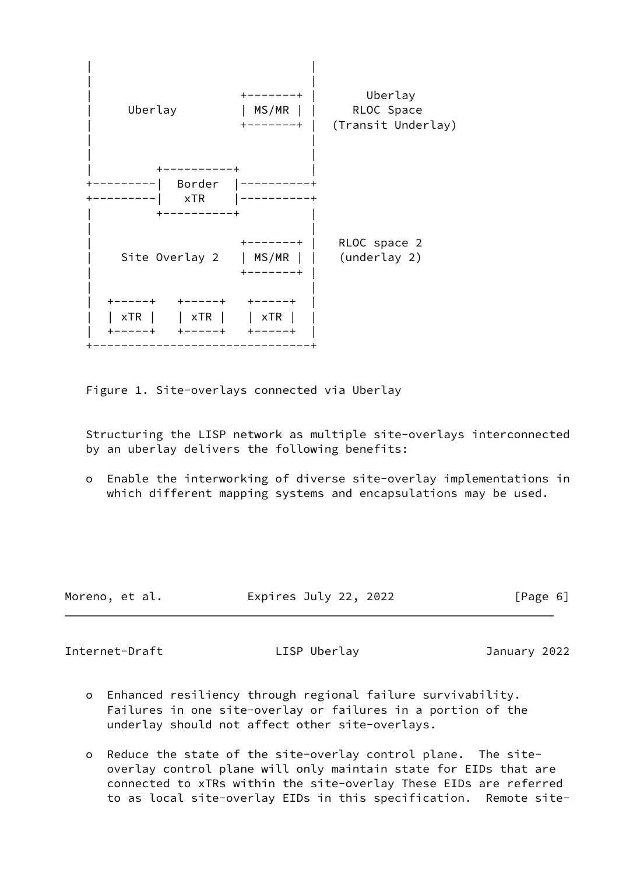

Figure 1. Site-overlays connected via Uberlay

 Structuring the LISP network as multiple site-overlays interconnected by an uberlay delivers the following benefits:

 o Enable the interworking of diverse site-overlay implementations in which different mapping systems and encapsulations may be used.

| Moreno, et al. | Expires July 22, 2022 | [Page 6] |
|----------------|-----------------------|----------|
|                |                       |          |

<span id="page-6-0"></span>Internet-Draft LISP Uberlay January 2022

- o Enhanced resiliency through regional failure survivability. Failures in one site-overlay or failures in a portion of the underlay should not affect other site-overlays.
- o Reduce the state of the site-overlay control plane. The site overlay control plane will only maintain state for EIDs that are connected to xTRs within the site-overlay These EIDs are referred to as local site-overlay EIDs in this specification. Remote site-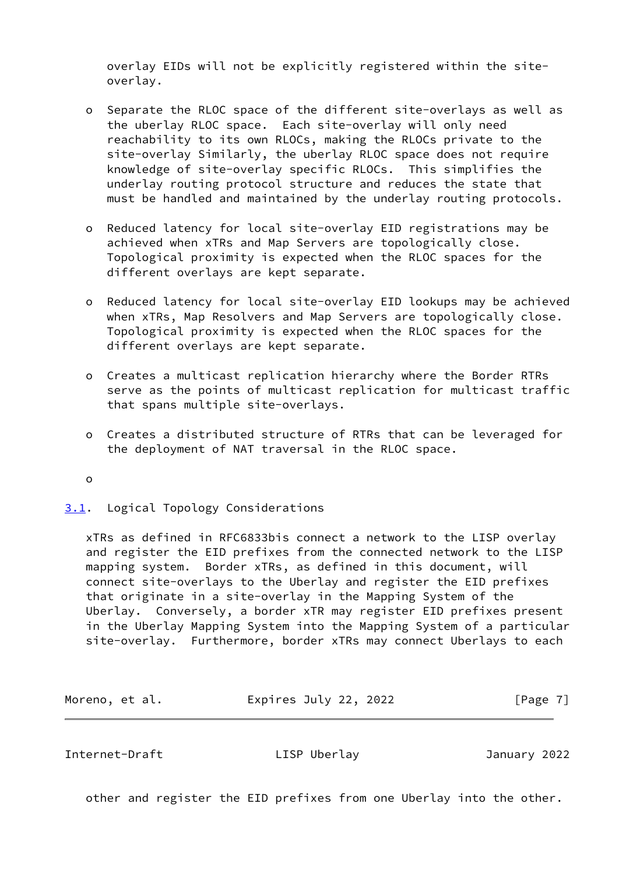overlay EIDs will not be explicitly registered within the site overlay.

- o Separate the RLOC space of the different site-overlays as well as the uberlay RLOC space. Each site-overlay will only need reachability to its own RLOCs, making the RLOCs private to the site-overlay Similarly, the uberlay RLOC space does not require knowledge of site-overlay specific RLOCs. This simplifies the underlay routing protocol structure and reduces the state that must be handled and maintained by the underlay routing protocols.
- o Reduced latency for local site-overlay EID registrations may be achieved when xTRs and Map Servers are topologically close. Topological proximity is expected when the RLOC spaces for the different overlays are kept separate.
- o Reduced latency for local site-overlay EID lookups may be achieved when xTRs, Map Resolvers and Map Servers are topologically close. Topological proximity is expected when the RLOC spaces for the different overlays are kept separate.
- o Creates a multicast replication hierarchy where the Border RTRs serve as the points of multicast replication for multicast traffic that spans multiple site-overlays.
- o Creates a distributed structure of RTRs that can be leveraged for the deployment of NAT traversal in the RLOC space.
- o
- <span id="page-7-0"></span>[3.1](#page-7-0). Logical Topology Considerations

 xTRs as defined in RFC6833bis connect a network to the LISP overlay and register the EID prefixes from the connected network to the LISP mapping system. Border xTRs, as defined in this document, will connect site-overlays to the Uberlay and register the EID prefixes that originate in a site-overlay in the Mapping System of the Uberlay. Conversely, a border xTR may register EID prefixes present in the Uberlay Mapping System into the Mapping System of a particular site-overlay. Furthermore, border xTRs may connect Uberlays to each

Moreno, et al. **Expires July 22, 2022** [Page 7]

Internet-Draft LISP Uberlay January 2022

other and register the EID prefixes from one Uberlay into the other.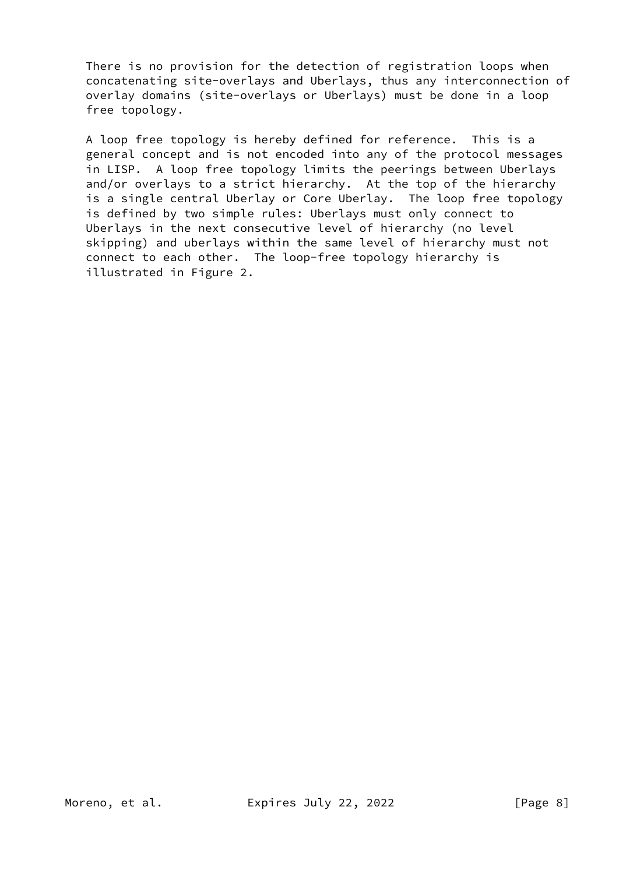There is no provision for the detection of registration loops when concatenating site-overlays and Uberlays, thus any interconnection of overlay domains (site-overlays or Uberlays) must be done in a loop free topology.

 A loop free topology is hereby defined for reference. This is a general concept and is not encoded into any of the protocol messages in LISP. A loop free topology limits the peerings between Uberlays and/or overlays to a strict hierarchy. At the top of the hierarchy is a single central Uberlay or Core Uberlay. The loop free topology is defined by two simple rules: Uberlays must only connect to Uberlays in the next consecutive level of hierarchy (no level skipping) and uberlays within the same level of hierarchy must not connect to each other. The loop-free topology hierarchy is illustrated in Figure 2.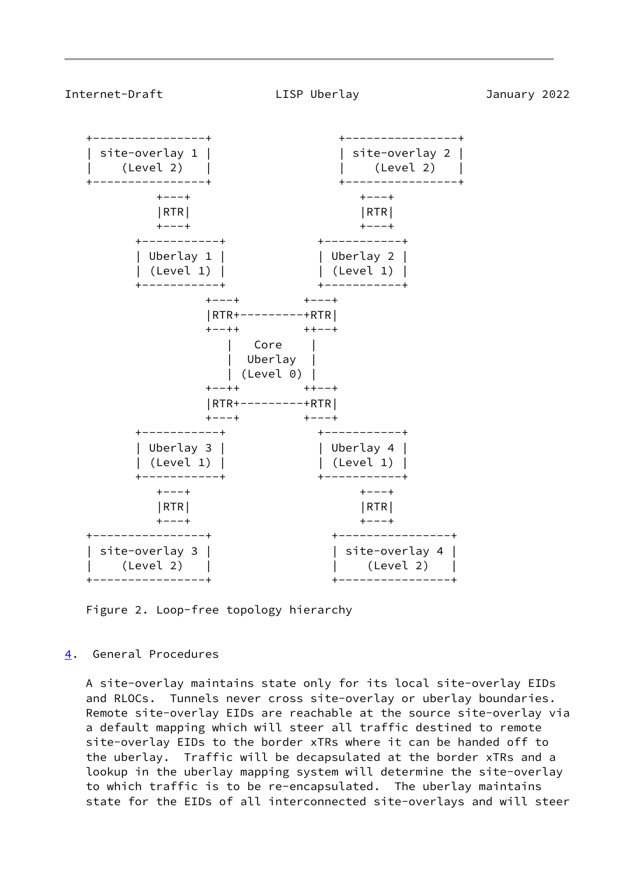<span id="page-9-1"></span>

Figure 2. Loop-free topology hierarchy

## <span id="page-9-0"></span>[4](#page-9-0). General Procedures

 A site-overlay maintains state only for its local site-overlay EIDs and RLOCs. Tunnels never cross site-overlay or uberlay boundaries. Remote site-overlay EIDs are reachable at the source site-overlay via a default mapping which will steer all traffic destined to remote site-overlay EIDs to the border xTRs where it can be handed off to the uberlay. Traffic will be decapsulated at the border xTRs and a lookup in the uberlay mapping system will determine the site-overlay to which traffic is to be re-encapsulated. The uberlay maintains state for the EIDs of all interconnected site-overlays and will steer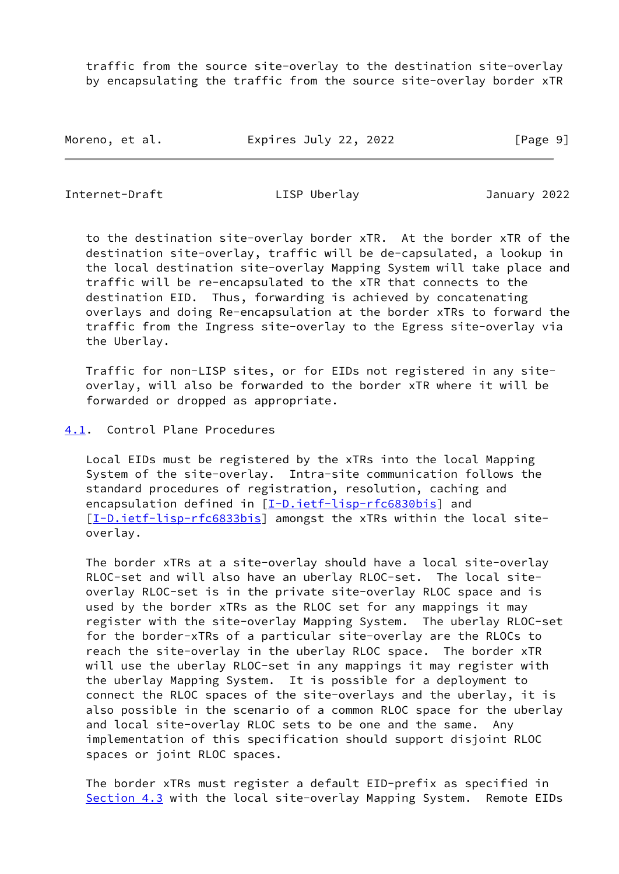traffic from the source site-overlay to the destination site-overlay by encapsulating the traffic from the source site-overlay border xTR

Moreno, et al. Expires July 22, 2022 [Page 9]

<span id="page-10-1"></span>Internet-Draft LISP Uberlay January 2022

 to the destination site-overlay border xTR. At the border xTR of the destination site-overlay, traffic will be de-capsulated, a lookup in the local destination site-overlay Mapping System will take place and traffic will be re-encapsulated to the xTR that connects to the destination EID. Thus, forwarding is achieved by concatenating overlays and doing Re-encapsulation at the border xTRs to forward the traffic from the Ingress site-overlay to the Egress site-overlay via the Uberlay.

 Traffic for non-LISP sites, or for EIDs not registered in any site overlay, will also be forwarded to the border xTR where it will be forwarded or dropped as appropriate.

### <span id="page-10-0"></span>[4.1](#page-10-0). Control Plane Procedures

 Local EIDs must be registered by the xTRs into the local Mapping System of the site-overlay. Intra-site communication follows the standard procedures of registration, resolution, caching and encapsulation defined in [\[I-D.ietf-lisp-rfc6830bis](#page-21-0)] and [\[I-D.ietf-lisp-rfc6833bis](#page-21-1)] amongst the xTRs within the local siteoverlay.

 The border xTRs at a site-overlay should have a local site-overlay RLOC-set and will also have an uberlay RLOC-set. The local site overlay RLOC-set is in the private site-overlay RLOC space and is used by the border xTRs as the RLOC set for any mappings it may register with the site-overlay Mapping System. The uberlay RLOC-set for the border-xTRs of a particular site-overlay are the RLOCs to reach the site-overlay in the uberlay RLOC space. The border xTR will use the uberlay RLOC-set in any mappings it may register with the uberlay Mapping System. It is possible for a deployment to connect the RLOC spaces of the site-overlays and the uberlay, it is also possible in the scenario of a common RLOC space for the uberlay and local site-overlay RLOC sets to be one and the same. Any implementation of this specification should support disjoint RLOC spaces or joint RLOC spaces.

 The border xTRs must register a default EID-prefix as specified in [Section 4.3](#page-15-0) with the local site-overlay Mapping System. Remote EIDs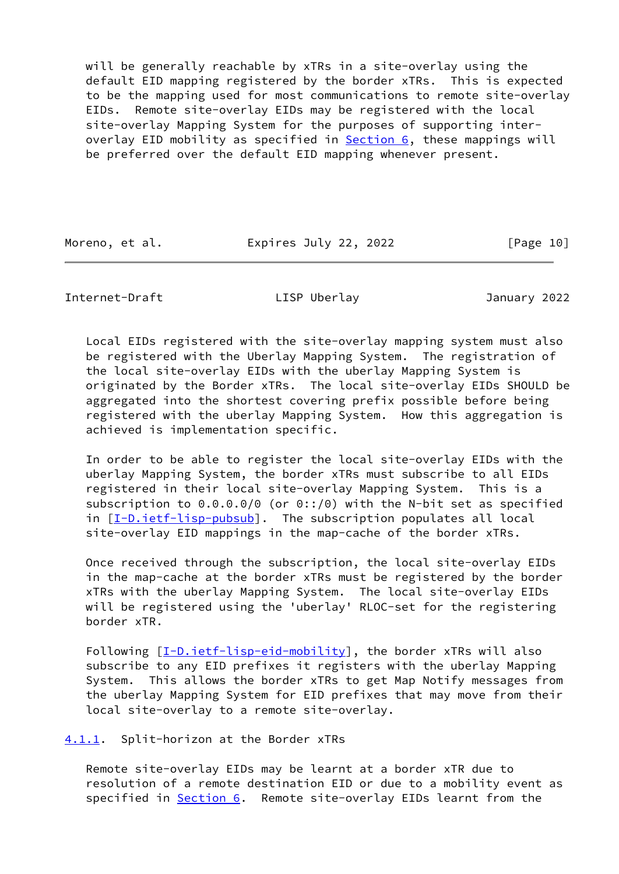will be generally reachable by xTRs in a site-overlay using the default EID mapping registered by the border xTRs. This is expected to be the mapping used for most communications to remote site-overlay EIDs. Remote site-overlay EIDs may be registered with the local site-overlay Mapping System for the purposes of supporting inter overlay EID mobility as specified in **Section 6**, these mappings will be preferred over the default EID mapping whenever present.

Moreno, et al. Expires July 22, 2022 [Page 10]

<span id="page-11-1"></span>Internet-Draft LISP Uberlay January 2022

 Local EIDs registered with the site-overlay mapping system must also be registered with the Uberlay Mapping System. The registration of the local site-overlay EIDs with the uberlay Mapping System is originated by the Border xTRs. The local site-overlay EIDs SHOULD be aggregated into the shortest covering prefix possible before being registered with the uberlay Mapping System. How this aggregation is achieved is implementation specific.

 In order to be able to register the local site-overlay EIDs with the uberlay Mapping System, the border xTRs must subscribe to all EIDs registered in their local site-overlay Mapping System. This is a subscription to 0.0.0.0/0 (or 0::/0) with the N-bit set as specified in [[I-D.ietf-lisp-pubsub\]](#page-20-4). The subscription populates all local site-overlay EID mappings in the map-cache of the border xTRs.

 Once received through the subscription, the local site-overlay EIDs in the map-cache at the border xTRs must be registered by the border xTRs with the uberlay Mapping System. The local site-overlay EIDs will be registered using the 'uberlay' RLOC-set for the registering border xTR.

Following [[I-D.ietf-lisp-eid-mobility\]](#page-20-5), the border xTRs will also subscribe to any EID prefixes it registers with the uberlay Mapping System. This allows the border xTRs to get Map Notify messages from the uberlay Mapping System for EID prefixes that may move from their local site-overlay to a remote site-overlay.

<span id="page-11-0"></span>[4.1.1](#page-11-0). Split-horizon at the Border xTRs

 Remote site-overlay EIDs may be learnt at a border xTR due to resolution of a remote destination EID or due to a mobility event as specified in **Section 6.** Remote site-overlay EIDs learnt from the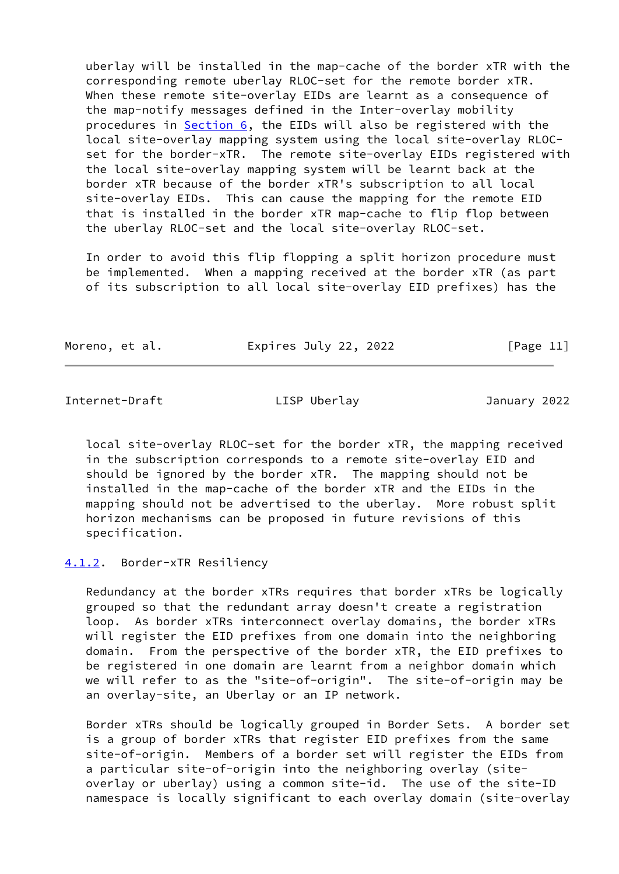uberlay will be installed in the map-cache of the border xTR with the corresponding remote uberlay RLOC-set for the remote border xTR. When these remote site-overlay EIDs are learnt as a consequence of the map-notify messages defined in the Inter-overlay mobility procedures in [Section 6,](#page-17-1) the EIDs will also be registered with the local site-overlay mapping system using the local site-overlay RLOC set for the border-xTR. The remote site-overlay EIDs registered with the local site-overlay mapping system will be learnt back at the border xTR because of the border xTR's subscription to all local site-overlay EIDs. This can cause the mapping for the remote EID that is installed in the border xTR map-cache to flip flop between the uberlay RLOC-set and the local site-overlay RLOC-set.

 In order to avoid this flip flopping a split horizon procedure must be implemented. When a mapping received at the border xTR (as part of its subscription to all local site-overlay EID prefixes) has the

| Moreno, et al. | Expires July 22, 2022 | [Page 11] |
|----------------|-----------------------|-----------|
|----------------|-----------------------|-----------|

<span id="page-12-1"></span>Internet-Draft LISP Uberlay January 2022

 local site-overlay RLOC-set for the border xTR, the mapping received in the subscription corresponds to a remote site-overlay EID and should be ignored by the border xTR. The mapping should not be installed in the map-cache of the border xTR and the EIDs in the mapping should not be advertised to the uberlay. More robust split horizon mechanisms can be proposed in future revisions of this specification.

<span id="page-12-0"></span>[4.1.2](#page-12-0). Border-xTR Resiliency

 Redundancy at the border xTRs requires that border xTRs be logically grouped so that the redundant array doesn't create a registration loop. As border xTRs interconnect overlay domains, the border xTRs will register the EID prefixes from one domain into the neighboring domain. From the perspective of the border xTR, the EID prefixes to be registered in one domain are learnt from a neighbor domain which we will refer to as the "site-of-origin". The site-of-origin may be an overlay-site, an Uberlay or an IP network.

 Border xTRs should be logically grouped in Border Sets. A border set is a group of border xTRs that register EID prefixes from the same site-of-origin. Members of a border set will register the EIDs from a particular site-of-origin into the neighboring overlay (site overlay or uberlay) using a common site-id. The use of the site-ID namespace is locally significant to each overlay domain (site-overlay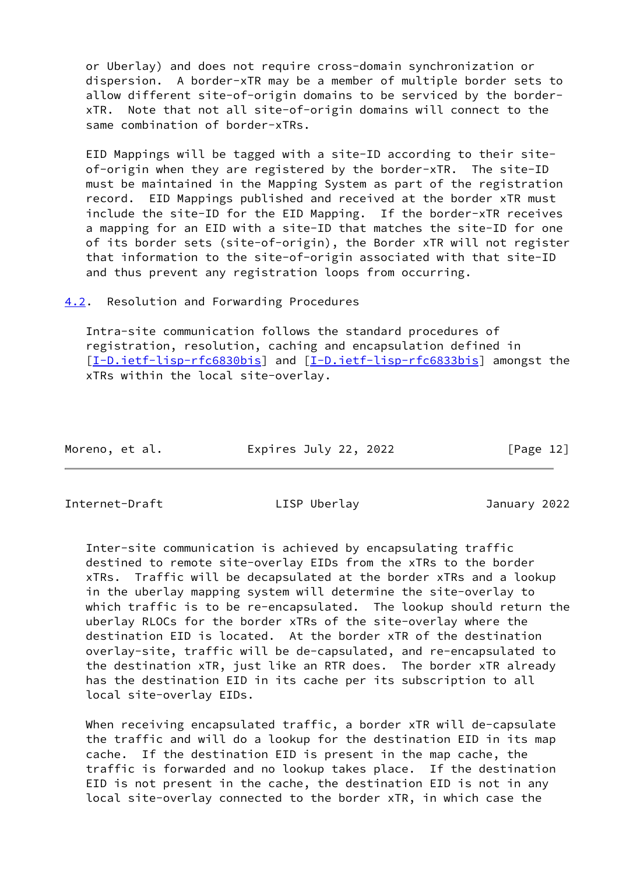or Uberlay) and does not require cross-domain synchronization or dispersion. A border-xTR may be a member of multiple border sets to allow different site-of-origin domains to be serviced by the border xTR. Note that not all site-of-origin domains will connect to the same combination of border-xTRs.

 EID Mappings will be tagged with a site-ID according to their site of-origin when they are registered by the border-xTR. The site-ID must be maintained in the Mapping System as part of the registration record. EID Mappings published and received at the border xTR must include the site-ID for the EID Mapping. If the border-xTR receives a mapping for an EID with a site-ID that matches the site-ID for one of its border sets (site-of-origin), the Border xTR will not register that information to the site-of-origin associated with that site-ID and thus prevent any registration loops from occurring.

<span id="page-13-0"></span>[4.2](#page-13-0). Resolution and Forwarding Procedures

 Intra-site communication follows the standard procedures of registration, resolution, caching and encapsulation defined in [\[I-D.ietf-lisp-rfc6830bis](#page-21-0)] and [\[I-D.ietf-lisp-rfc6833bis](#page-21-1)] amongst the xTRs within the local site-overlay.

| Moreno, et al. | Expires July 22, 2022 | [Page 12] |
|----------------|-----------------------|-----------|
|                |                       |           |

<span id="page-13-1"></span>Internet-Draft LISP Uberlay January 2022

 Inter-site communication is achieved by encapsulating traffic destined to remote site-overlay EIDs from the xTRs to the border xTRs. Traffic will be decapsulated at the border xTRs and a lookup in the uberlay mapping system will determine the site-overlay to which traffic is to be re-encapsulated. The lookup should return the uberlay RLOCs for the border xTRs of the site-overlay where the destination EID is located. At the border xTR of the destination overlay-site, traffic will be de-capsulated, and re-encapsulated to the destination xTR, just like an RTR does. The border xTR already has the destination EID in its cache per its subscription to all local site-overlay EIDs.

When receiving encapsulated traffic, a border xTR will de-capsulate the traffic and will do a lookup for the destination EID in its map cache. If the destination EID is present in the map cache, the traffic is forwarded and no lookup takes place. If the destination EID is not present in the cache, the destination EID is not in any local site-overlay connected to the border xTR, in which case the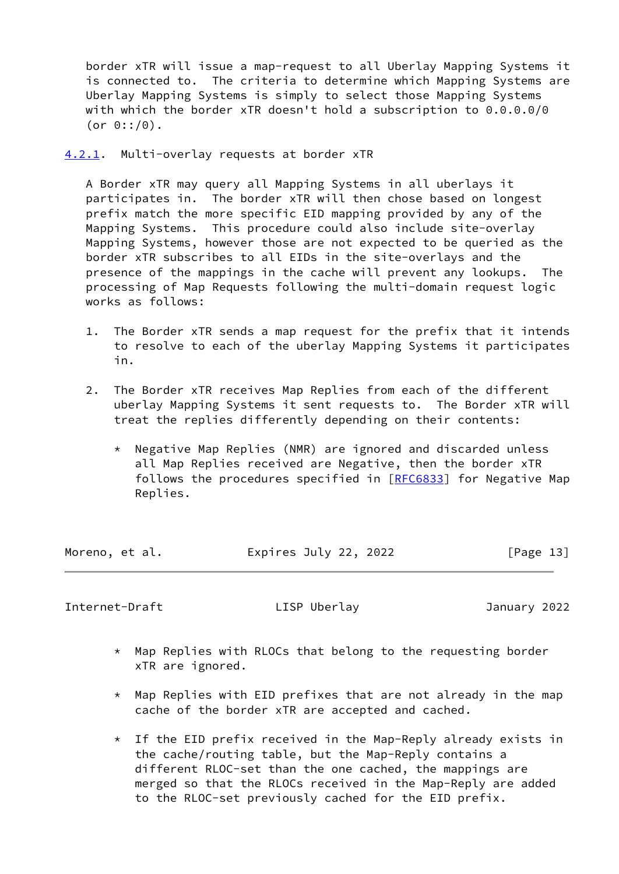border xTR will issue a map-request to all Uberlay Mapping Systems it is connected to. The criteria to determine which Mapping Systems are Uberlay Mapping Systems is simply to select those Mapping Systems with which the border xTR doesn't hold a subscription to 0.0.0.0/0 (or  $0::/0)$ .

<span id="page-14-0"></span>[4.2.1](#page-14-0). Multi-overlay requests at border xTR

 A Border xTR may query all Mapping Systems in all uberlays it participates in. The border xTR will then chose based on longest prefix match the more specific EID mapping provided by any of the Mapping Systems. This procedure could also include site-overlay Mapping Systems, however those are not expected to be queried as the border xTR subscribes to all EIDs in the site-overlays and the presence of the mappings in the cache will prevent any lookups. The processing of Map Requests following the multi-domain request logic works as follows:

- 1. The Border xTR sends a map request for the prefix that it intends to resolve to each of the uberlay Mapping Systems it participates in.
- 2. The Border xTR receives Map Replies from each of the different uberlay Mapping Systems it sent requests to. The Border xTR will treat the replies differently depending on their contents:
	- \* Negative Map Replies (NMR) are ignored and discarded unless all Map Replies received are Negative, then the border xTR follows the procedures specified in [[RFC6833\]](https://datatracker.ietf.org/doc/pdf/rfc6833) for Negative Map Replies.

| Moreno, et al. | Expires July 22, 2022 | [Page 13] |
|----------------|-----------------------|-----------|
|                |                       |           |

<span id="page-14-1"></span>Internet-Draft LISP Uberlay January 2022

- \* Map Replies with RLOCs that belong to the requesting border xTR are ignored.
- $*$  Map Replies with EID prefixes that are not already in the map cache of the border xTR are accepted and cached.
- \* If the EID prefix received in the Map-Reply already exists in the cache/routing table, but the Map-Reply contains a different RLOC-set than the one cached, the mappings are merged so that the RLOCs received in the Map-Reply are added to the RLOC-set previously cached for the EID prefix.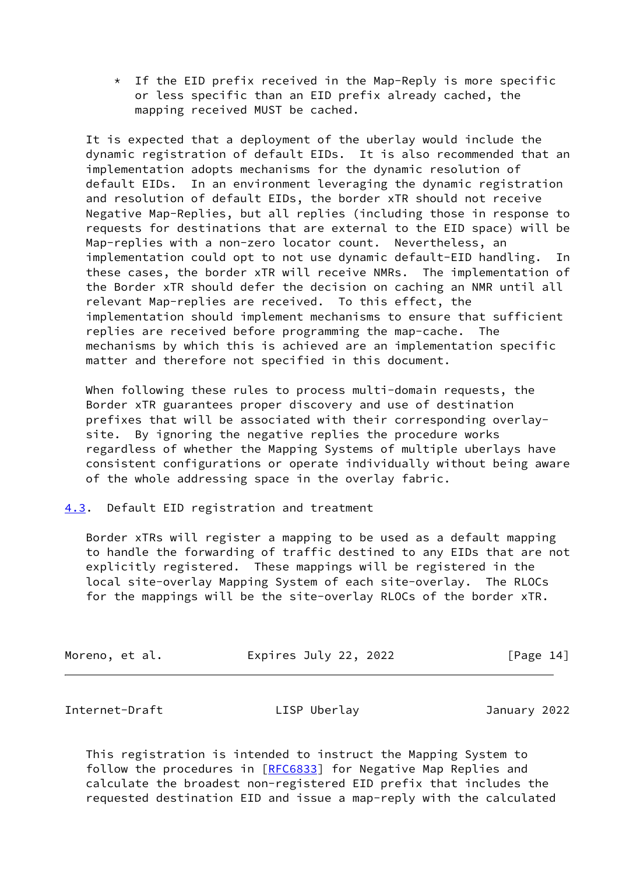$*$  If the EID prefix received in the Map-Reply is more specific or less specific than an EID prefix already cached, the mapping received MUST be cached.

 It is expected that a deployment of the uberlay would include the dynamic registration of default EIDs. It is also recommended that an implementation adopts mechanisms for the dynamic resolution of default EIDs. In an environment leveraging the dynamic registration and resolution of default EIDs, the border xTR should not receive Negative Map-Replies, but all replies (including those in response to requests for destinations that are external to the EID space) will be Map-replies with a non-zero locator count. Nevertheless, an implementation could opt to not use dynamic default-EID handling. In these cases, the border xTR will receive NMRs. The implementation of the Border xTR should defer the decision on caching an NMR until all relevant Map-replies are received. To this effect, the implementation should implement mechanisms to ensure that sufficient replies are received before programming the map-cache. The mechanisms by which this is achieved are an implementation specific matter and therefore not specified in this document.

 When following these rules to process multi-domain requests, the Border xTR guarantees proper discovery and use of destination prefixes that will be associated with their corresponding overlay site. By ignoring the negative replies the procedure works regardless of whether the Mapping Systems of multiple uberlays have consistent configurations or operate individually without being aware of the whole addressing space in the overlay fabric.

<span id="page-15-0"></span>[4.3](#page-15-0). Default EID registration and treatment

 Border xTRs will register a mapping to be used as a default mapping to handle the forwarding of traffic destined to any EIDs that are not explicitly registered. These mappings will be registered in the local site-overlay Mapping System of each site-overlay. The RLOCs for the mappings will be the site-overlay RLOCs of the border xTR.

| Expires July 22, 2022<br>[Page 14]<br>Moreno, et al. |  |
|------------------------------------------------------|--|
|------------------------------------------------------|--|

<span id="page-15-1"></span>Internet-Draft LISP Uberlay January 2022

 This registration is intended to instruct the Mapping System to follow the procedures in [\[RFC6833](https://datatracker.ietf.org/doc/pdf/rfc6833)] for Negative Map Replies and calculate the broadest non-registered EID prefix that includes the requested destination EID and issue a map-reply with the calculated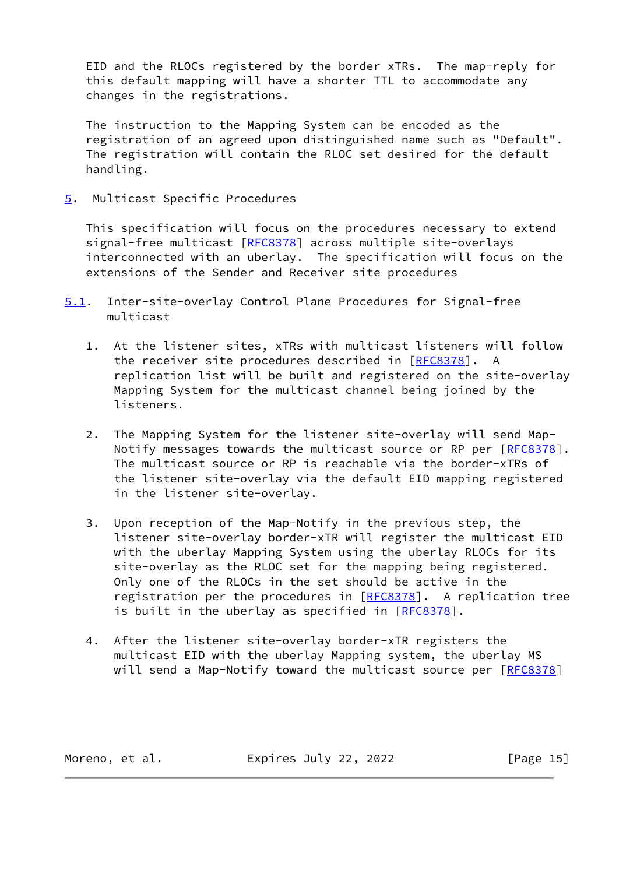EID and the RLOCs registered by the border xTRs. The map-reply for this default mapping will have a shorter TTL to accommodate any changes in the registrations.

 The instruction to the Mapping System can be encoded as the registration of an agreed upon distinguished name such as "Default". The registration will contain the RLOC set desired for the default handling.

<span id="page-16-0"></span>[5](#page-16-0). Multicast Specific Procedures

 This specification will focus on the procedures necessary to extend signal-free multicast [[RFC8378](https://datatracker.ietf.org/doc/pdf/rfc8378)] across multiple site-overlays interconnected with an uberlay. The specification will focus on the extensions of the Sender and Receiver site procedures

- <span id="page-16-1"></span>[5.1](#page-16-1). Inter-site-overlay Control Plane Procedures for Signal-free multicast
	- 1. At the listener sites, xTRs with multicast listeners will follow the receiver site procedures described in [[RFC8378](https://datatracker.ietf.org/doc/pdf/rfc8378)]. replication list will be built and registered on the site-overlay Mapping System for the multicast channel being joined by the listeners.
	- 2. The Mapping System for the listener site-overlay will send Map- Notify messages towards the multicast source or RP per [[RFC8378\]](https://datatracker.ietf.org/doc/pdf/rfc8378). The multicast source or RP is reachable via the border-xTRs of the listener site-overlay via the default EID mapping registered in the listener site-overlay.
	- 3. Upon reception of the Map-Notify in the previous step, the listener site-overlay border-xTR will register the multicast EID with the uberlay Mapping System using the uberlay RLOCs for its site-overlay as the RLOC set for the mapping being registered. Only one of the RLOCs in the set should be active in the registration per the procedures in [\[RFC8378](https://datatracker.ietf.org/doc/pdf/rfc8378)]. A replication tree is built in the uberlay as specified in [\[RFC8378](https://datatracker.ietf.org/doc/pdf/rfc8378)].
	- 4. After the listener site-overlay border-xTR registers the multicast EID with the uberlay Mapping system, the uberlay MS will send a Map-Notify toward the multicast source per [[RFC8378\]](https://datatracker.ietf.org/doc/pdf/rfc8378)

Moreno, et al. Expires July 22, 2022 [Page 15]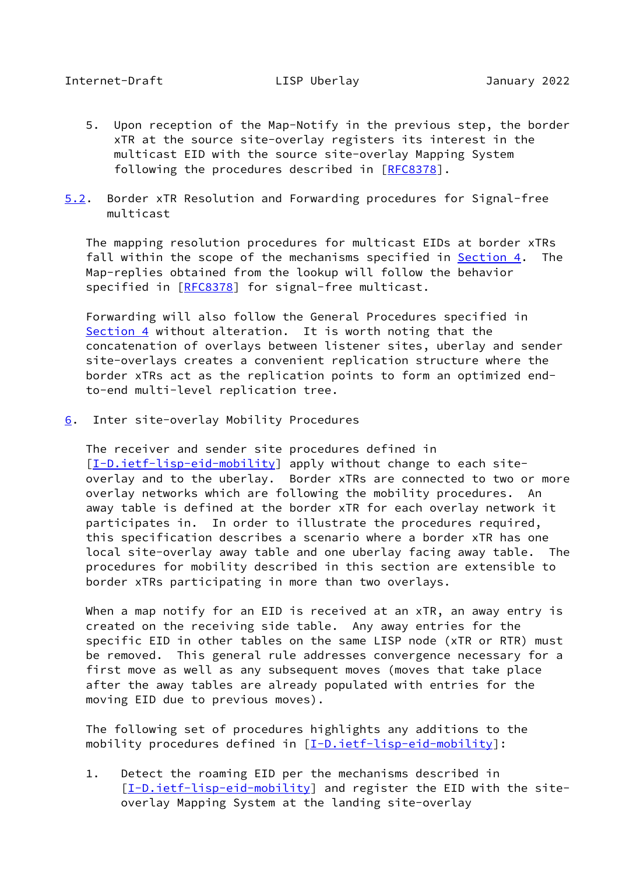- <span id="page-17-0"></span> 5. Upon reception of the Map-Notify in the previous step, the border xTR at the source site-overlay registers its interest in the multicast EID with the source site-overlay Mapping System following the procedures described in [[RFC8378](https://datatracker.ietf.org/doc/pdf/rfc8378)].
- <span id="page-17-2"></span>[5.2](#page-17-2). Border xTR Resolution and Forwarding procedures for Signal-free multicast

 The mapping resolution procedures for multicast EIDs at border xTRs fall within the scope of the mechanisms specified in **Section 4.** The Map-replies obtained from the lookup will follow the behavior specified in [\[RFC8378](https://datatracker.ietf.org/doc/pdf/rfc8378)] for signal-free multicast.

 Forwarding will also follow the General Procedures specified in [Section 4](#page-9-0) without alteration. It is worth noting that the concatenation of overlays between listener sites, uberlay and sender site-overlays creates a convenient replication structure where the border xTRs act as the replication points to form an optimized end to-end multi-level replication tree.

<span id="page-17-1"></span>[6](#page-17-1). Inter site-overlay Mobility Procedures

 The receiver and sender site procedures defined in [\[I-D.ietf-lisp-eid-mobility\]](#page-20-5) apply without change to each site overlay and to the uberlay. Border xTRs are connected to two or more overlay networks which are following the mobility procedures. An away table is defined at the border xTR for each overlay network it participates in. In order to illustrate the procedures required, this specification describes a scenario where a border xTR has one local site-overlay away table and one uberlay facing away table. The procedures for mobility described in this section are extensible to border xTRs participating in more than two overlays.

When a map notify for an EID is received at an xTR, an away entry is created on the receiving side table. Any away entries for the specific EID in other tables on the same LISP node (xTR or RTR) must be removed. This general rule addresses convergence necessary for a first move as well as any subsequent moves (moves that take place after the away tables are already populated with entries for the moving EID due to previous moves).

 The following set of procedures highlights any additions to the mobility procedures defined in [\[I-D.ietf-lisp-eid-mobility](#page-20-5)]:

 1. Detect the roaming EID per the mechanisms described in [\[I-D.ietf-lisp-eid-mobility\]](#page-20-5) and register the EID with the siteoverlay Mapping System at the landing site-overlay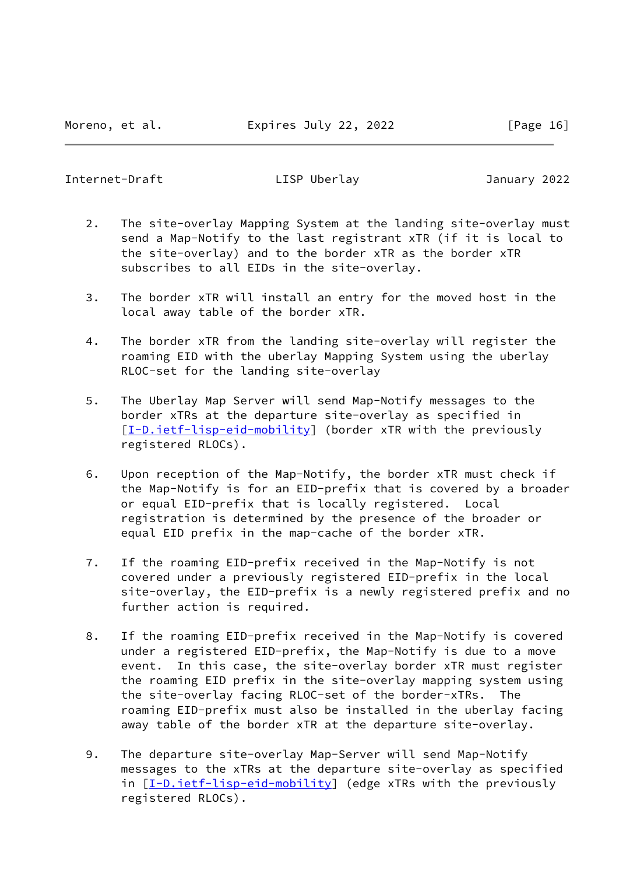Internet-Draft LISP Uberlay January 2022

- 2. The site-overlay Mapping System at the landing site-overlay must send a Map-Notify to the last registrant xTR (if it is local to the site-overlay) and to the border xTR as the border xTR subscribes to all EIDs in the site-overlay.
- 3. The border xTR will install an entry for the moved host in the local away table of the border xTR.
- 4. The border xTR from the landing site-overlay will register the roaming EID with the uberlay Mapping System using the uberlay RLOC-set for the landing site-overlay
- 5. The Uberlay Map Server will send Map-Notify messages to the border xTRs at the departure site-overlay as specified in [\[I-D.ietf-lisp-eid-mobility\]](#page-20-5) (border xTR with the previously registered RLOCs).
- 6. Upon reception of the Map-Notify, the border xTR must check if the Map-Notify is for an EID-prefix that is covered by a broader or equal EID-prefix that is locally registered. Local registration is determined by the presence of the broader or equal EID prefix in the map-cache of the border xTR.
- 7. If the roaming EID-prefix received in the Map-Notify is not covered under a previously registered EID-prefix in the local site-overlay, the EID-prefix is a newly registered prefix and no further action is required.
- 8. If the roaming EID-prefix received in the Map-Notify is covered under a registered EID-prefix, the Map-Notify is due to a move event. In this case, the site-overlay border xTR must register the roaming EID prefix in the site-overlay mapping system using the site-overlay facing RLOC-set of the border-xTRs. The roaming EID-prefix must also be installed in the uberlay facing away table of the border xTR at the departure site-overlay.
- 9. The departure site-overlay Map-Server will send Map-Notify messages to the xTRs at the departure site-overlay as specified in [\[I-D.ietf-lisp-eid-mobility\]](#page-20-5) (edge xTRs with the previously registered RLOCs).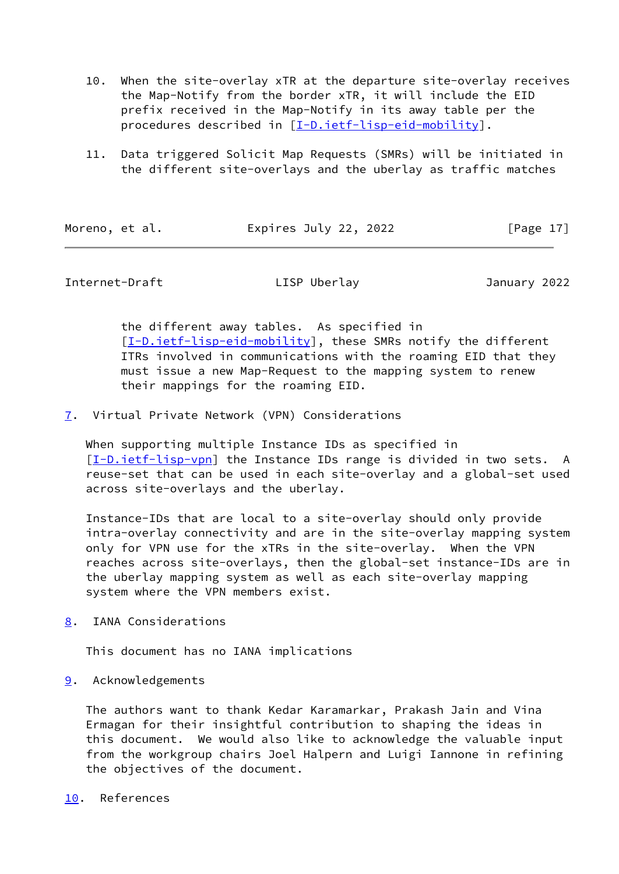- 10. When the site-overlay xTR at the departure site-overlay receives the Map-Notify from the border xTR, it will include the EID prefix received in the Map-Notify in its away table per the procedures described in [\[I-D.ietf-lisp-eid-mobility\]](#page-20-5).
- 11. Data triggered Solicit Map Requests (SMRs) will be initiated in the different site-overlays and the uberlay as traffic matches

| Moreno, | et al. |
|---------|--------|
|         |        |

Expires July 22, 2022 [Page 17]

### <span id="page-19-1"></span>Internet-Draft LISP Uberlay January 2022

 the different away tables. As specified in [\[I-D.ietf-lisp-eid-mobility\]](#page-20-5), these SMRs notify the different ITRs involved in communications with the roaming EID that they must issue a new Map-Request to the mapping system to renew their mappings for the roaming EID.

<span id="page-19-0"></span>[7](#page-19-0). Virtual Private Network (VPN) Considerations

 When supporting multiple Instance IDs as specified in [\[I-D.ietf-lisp-vpn](#page-21-2)] the Instance IDs range is divided in two sets. A reuse-set that can be used in each site-overlay and a global-set used across site-overlays and the uberlay.

 Instance-IDs that are local to a site-overlay should only provide intra-overlay connectivity and are in the site-overlay mapping system only for VPN use for the xTRs in the site-overlay. When the VPN reaches across site-overlays, then the global-set instance-IDs are in the uberlay mapping system as well as each site-overlay mapping system where the VPN members exist.

<span id="page-19-2"></span>[8](#page-19-2). IANA Considerations

This document has no IANA implications

<span id="page-19-3"></span>[9](#page-19-3). Acknowledgements

 The authors want to thank Kedar Karamarkar, Prakash Jain and Vina Ermagan for their insightful contribution to shaping the ideas in this document. We would also like to acknowledge the valuable input from the workgroup chairs Joel Halpern and Luigi Iannone in refining the objectives of the document.

#### <span id="page-19-4"></span>[10.](#page-19-4) References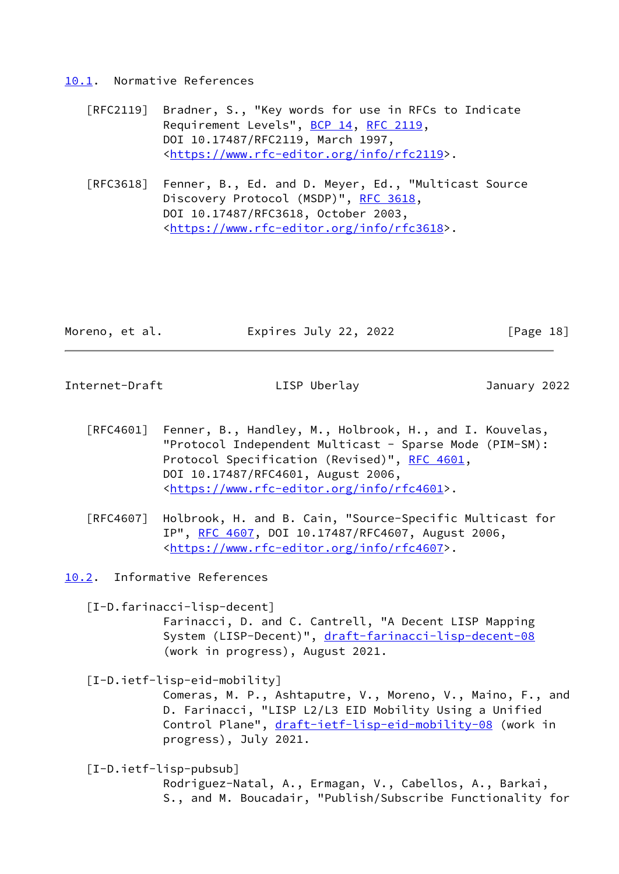#### <span id="page-20-0"></span>[10.1](#page-20-0). Normative References

- [RFC2119] Bradner, S., "Key words for use in RFCs to Indicate Requirement Levels", [BCP 14](https://datatracker.ietf.org/doc/pdf/bcp14), [RFC 2119](https://datatracker.ietf.org/doc/pdf/rfc2119), DOI 10.17487/RFC2119, March 1997, <[https://www.rfc-editor.org/info/rfc2119>](https://www.rfc-editor.org/info/rfc2119).
- [RFC3618] Fenner, B., Ed. and D. Meyer, Ed., "Multicast Source Discovery Protocol (MSDP)", [RFC 3618,](https://datatracker.ietf.org/doc/pdf/rfc3618) DOI 10.17487/RFC3618, October 2003, <[https://www.rfc-editor.org/info/rfc3618>](https://www.rfc-editor.org/info/rfc3618).

| Moreno, et al. | Expires July 22, 2022 | [Page 18] |
|----------------|-----------------------|-----------|
|                |                       |           |

<span id="page-20-2"></span>Internet-Draft LISP Uberlay January 2022

- [RFC4601] Fenner, B., Handley, M., Holbrook, H., and I. Kouvelas, "Protocol Independent Multicast - Sparse Mode (PIM-SM): Protocol Specification (Revised)", [RFC 4601](https://datatracker.ietf.org/doc/pdf/rfc4601), DOI 10.17487/RFC4601, August 2006, <[https://www.rfc-editor.org/info/rfc4601>](https://www.rfc-editor.org/info/rfc4601).
- [RFC4607] Holbrook, H. and B. Cain, "Source-Specific Multicast for IP", [RFC 4607](https://datatracker.ietf.org/doc/pdf/rfc4607), DOI 10.17487/RFC4607, August 2006, <[https://www.rfc-editor.org/info/rfc4607>](https://www.rfc-editor.org/info/rfc4607).

<span id="page-20-1"></span>[10.2](#page-20-1). Informative References

<span id="page-20-3"></span>[I-D.farinacci-lisp-decent]

 Farinacci, D. and C. Cantrell, "A Decent LISP Mapping System (LISP-Decent)", [draft-farinacci-lisp-decent-08](https://datatracker.ietf.org/doc/pdf/draft-farinacci-lisp-decent-08) (work in progress), August 2021.

<span id="page-20-5"></span>[I-D.ietf-lisp-eid-mobility]

 Comeras, M. P., Ashtaputre, V., Moreno, V., Maino, F., and D. Farinacci, "LISP L2/L3 EID Mobility Using a Unified Control Plane", [draft-ietf-lisp-eid-mobility-08](https://datatracker.ietf.org/doc/pdf/draft-ietf-lisp-eid-mobility-08) (work in progress), July 2021.

<span id="page-20-4"></span>[I-D.ietf-lisp-pubsub]

 Rodriguez-Natal, A., Ermagan, V., Cabellos, A., Barkai, S., and M. Boucadair, "Publish/Subscribe Functionality for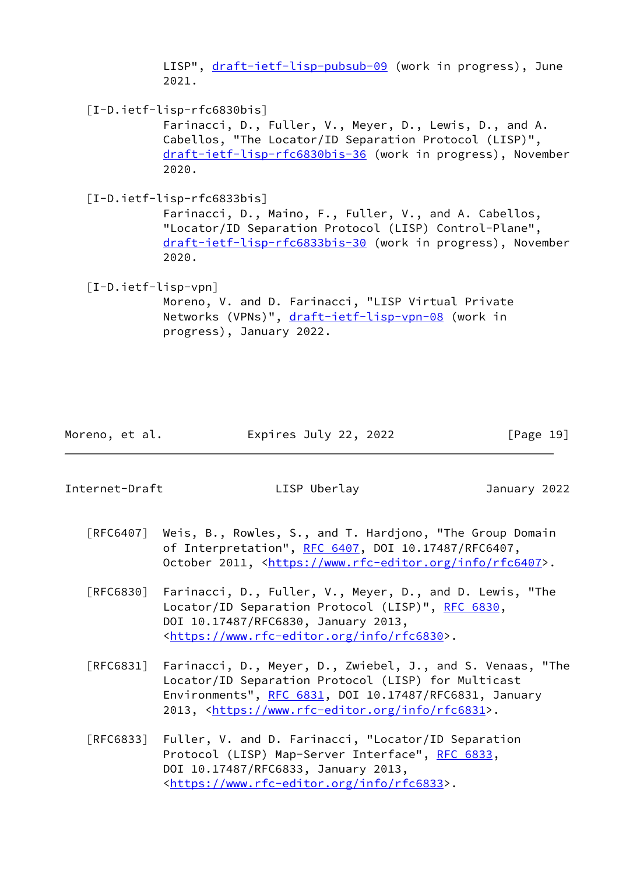LISP", [draft-ietf-lisp-pubsub-09](https://datatracker.ietf.org/doc/pdf/draft-ietf-lisp-pubsub-09) (work in progress), June 2021.

<span id="page-21-0"></span>[I-D.ietf-lisp-rfc6830bis]

 Farinacci, D., Fuller, V., Meyer, D., Lewis, D., and A. Cabellos, "The Locator/ID Separation Protocol (LISP)", [draft-ietf-lisp-rfc6830bis-36](https://datatracker.ietf.org/doc/pdf/draft-ietf-lisp-rfc6830bis-36) (work in progress), November 2020.

<span id="page-21-1"></span>[I-D.ietf-lisp-rfc6833bis]

 Farinacci, D., Maino, F., Fuller, V., and A. Cabellos, "Locator/ID Separation Protocol (LISP) Control-Plane", [draft-ietf-lisp-rfc6833bis-30](https://datatracker.ietf.org/doc/pdf/draft-ietf-lisp-rfc6833bis-30) (work in progress), November 2020.

<span id="page-21-2"></span> [I-D.ietf-lisp-vpn] Moreno, V. and D. Farinacci, "LISP Virtual Private Networks (VPNs)", [draft-ietf-lisp-vpn-08](https://datatracker.ietf.org/doc/pdf/draft-ietf-lisp-vpn-08) (work in progress), January 2022.

Moreno, et al. Expires July 22, 2022 [Page 19]

Internet-Draft LISP Uberlay January 2022

- [RFC6407] Weis, B., Rowles, S., and T. Hardjono, "The Group Domain of Interpretation", [RFC 6407,](https://datatracker.ietf.org/doc/pdf/rfc6407) DOI 10.17487/RFC6407, October 2011, [<https://www.rfc-editor.org/info/rfc6407](https://www.rfc-editor.org/info/rfc6407)>.
- [RFC6830] Farinacci, D., Fuller, V., Meyer, D., and D. Lewis, "The Locator/ID Separation Protocol (LISP)", [RFC 6830,](https://datatracker.ietf.org/doc/pdf/rfc6830) DOI 10.17487/RFC6830, January 2013, <[https://www.rfc-editor.org/info/rfc6830>](https://www.rfc-editor.org/info/rfc6830).
- [RFC6831] Farinacci, D., Meyer, D., Zwiebel, J., and S. Venaas, "The Locator/ID Separation Protocol (LISP) for Multicast Environments", [RFC 6831](https://datatracker.ietf.org/doc/pdf/rfc6831), DOI 10.17487/RFC6831, January 2013, [<https://www.rfc-editor.org/info/rfc6831](https://www.rfc-editor.org/info/rfc6831)>.
- [RFC6833] Fuller, V. and D. Farinacci, "Locator/ID Separation Protocol (LISP) Map-Server Interface", [RFC 6833](https://datatracker.ietf.org/doc/pdf/rfc6833), DOI 10.17487/RFC6833, January 2013, <[https://www.rfc-editor.org/info/rfc6833>](https://www.rfc-editor.org/info/rfc6833).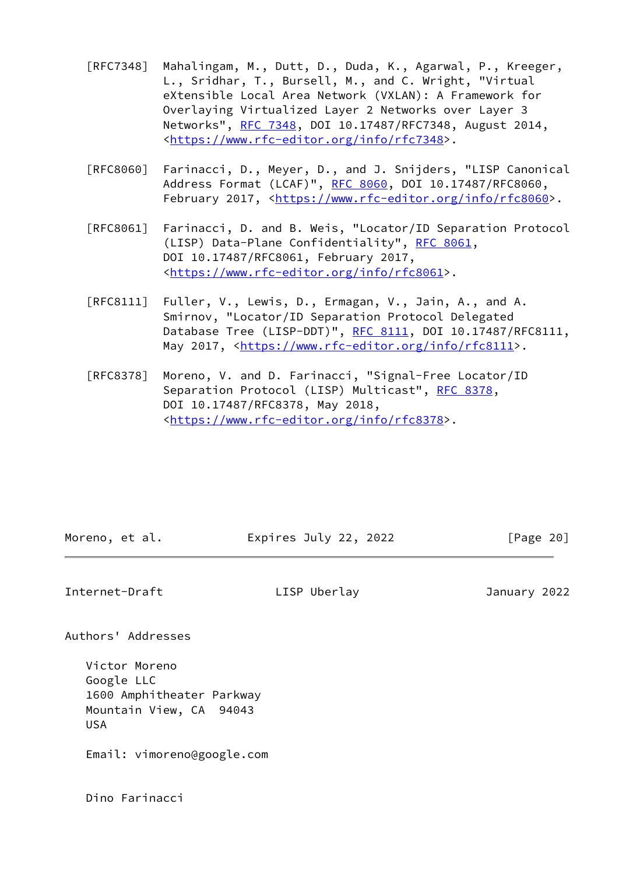- [RFC7348] Mahalingam, M., Dutt, D., Duda, K., Agarwal, P., Kreeger, L., Sridhar, T., Bursell, M., and C. Wright, "Virtual eXtensible Local Area Network (VXLAN): A Framework for Overlaying Virtualized Layer 2 Networks over Layer 3 Networks", [RFC 7348](https://datatracker.ietf.org/doc/pdf/rfc7348), DOI 10.17487/RFC7348, August 2014, <[https://www.rfc-editor.org/info/rfc7348>](https://www.rfc-editor.org/info/rfc7348).
- [RFC8060] Farinacci, D., Meyer, D., and J. Snijders, "LISP Canonical Address Format (LCAF)", [RFC 8060,](https://datatracker.ietf.org/doc/pdf/rfc8060) DOI 10.17487/RFC8060, February 2017, <<https://www.rfc-editor.org/info/rfc8060>>.
- [RFC8061] Farinacci, D. and B. Weis, "Locator/ID Separation Protocol (LISP) Data-Plane Confidentiality", [RFC 8061,](https://datatracker.ietf.org/doc/pdf/rfc8061) DOI 10.17487/RFC8061, February 2017, <[https://www.rfc-editor.org/info/rfc8061>](https://www.rfc-editor.org/info/rfc8061).
- [RFC8111] Fuller, V., Lewis, D., Ermagan, V., Jain, A., and A. Smirnov, "Locator/ID Separation Protocol Delegated Database Tree (LISP-DDT)", [RFC 8111](https://datatracker.ietf.org/doc/pdf/rfc8111), DOI 10.17487/RFC8111, May 2017, [<https://www.rfc-editor.org/info/rfc8111](https://www.rfc-editor.org/info/rfc8111)>.
- [RFC8378] Moreno, V. and D. Farinacci, "Signal-Free Locator/ID Separation Protocol (LISP) Multicast", [RFC 8378](https://datatracker.ietf.org/doc/pdf/rfc8378), DOI 10.17487/RFC8378, May 2018, <[https://www.rfc-editor.org/info/rfc8378>](https://www.rfc-editor.org/info/rfc8378).

| Moreno, et al. | Expires July 22, 2022 | [Page 20] |
|----------------|-----------------------|-----------|
|                |                       |           |

<span id="page-22-0"></span>Internet-Draft LISP Uberlay January 2022

Authors' Addresses

 Victor Moreno Google LLC 1600 Amphitheater Parkway Mountain View, CA 94043 USA

Email: vimoreno@google.com

Dino Farinacci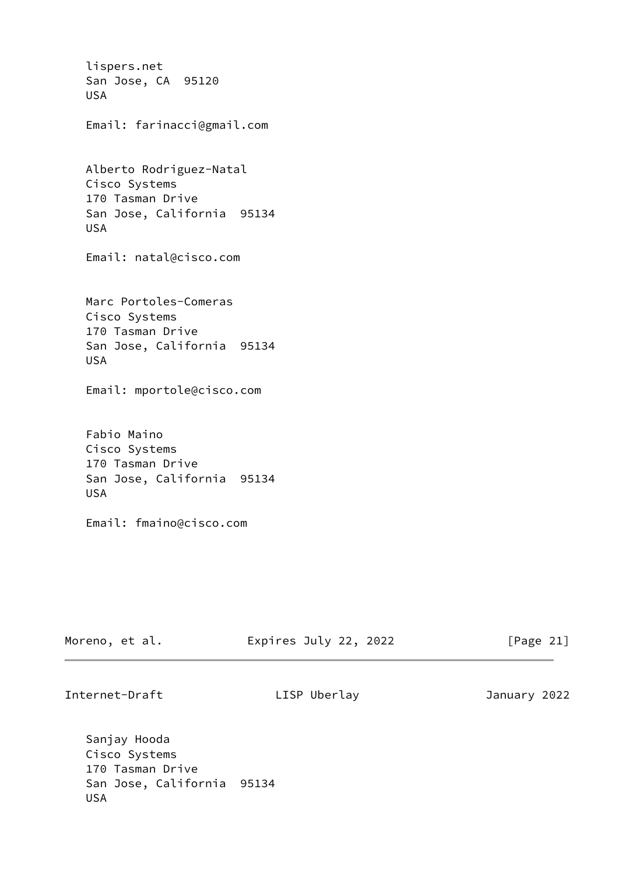lispers.net San Jose, CA 95120 USA Email: farinacci@gmail.com Alberto Rodriguez-Natal Cisco Systems 170 Tasman Drive San Jose, California 95134 USA Email: natal@cisco.com Marc Portoles-Comeras Cisco Systems 170 Tasman Drive San Jose, California 95134 USA Email: mportole@cisco.com Fabio Maino Cisco Systems 170 Tasman Drive San Jose, California 95134 USA Email: fmaino@cisco.com

| Moreno, et al. | Expires July 22, 2022 | [Page 21] |
|----------------|-----------------------|-----------|
|----------------|-----------------------|-----------|

Internet-Draft LISP Uberlay January 2022

 Sanjay Hooda Cisco Systems 170 Tasman Drive San Jose, California 95134 USA